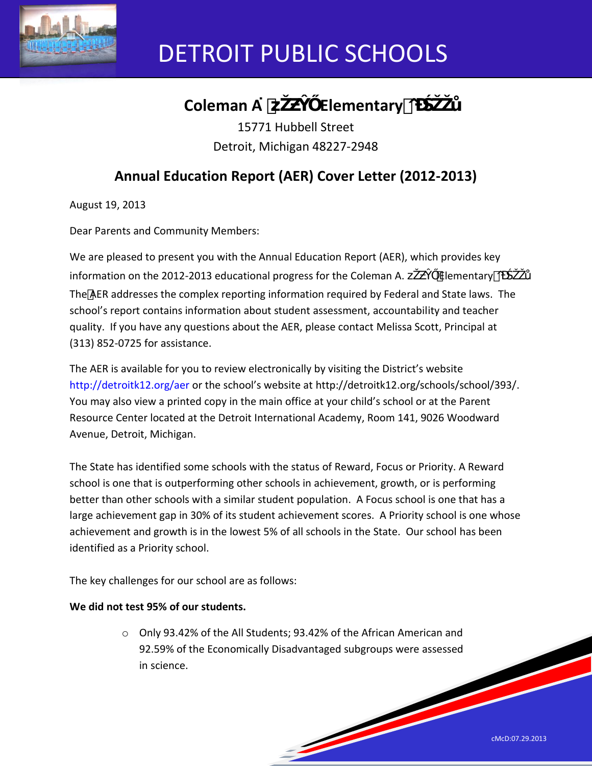

# DETROIT PUBLIC SCHOOLS

# **Coleman A**<sup> $Y$ </sup> Elementary O

15771 Hubbell Street Detroit, Michigan 48227-2948

## **Annual Education Report (AER) Cover Letter (2012-2013)**

August 19, 2013

Dear Parents and Community Members:

We are pleased to present you with the Annual Education Report (AER), which provides key information on the 2012-2013 educational progress for the Coleman A. ' Elementary o The AER addresses the complex reporting information required by Federal and State laws. The school's report contains information about student assessment, accountability and teacher quality. If you have any questions about the AER, please contact Melissa Scott, Principal at (313) 852-0725 for assistance.

The AER is available for you to review electronically by visiting the District's website http://detroitk12.org/aer or the school's website at http://detroitk12.org/schools/school/393/. You may also view a printed copy in the main office at your child's school or at the Parent Resource Center located at the Detroit International Academy, Room 141, 9026 Woodward Avenue, Detroit, Michigan.

The State has identified some schools with the status of Reward, Focus or Priority. A Reward school is one that is outperforming other schools in achievement, growth, or is performing better than other schools with a similar student population. A Focus school is one that has a large achievement gap in 30% of its student achievement scores. A Priority school is one whose achievement and growth is in the lowest 5% of all schools in the State. Our school has been identified as a Priority school.

The key challenges for our school are as follows:

## **We did not test 95% of our students.**

o Only 93.42% of the All Students; 93.42% of the African American and 92.59% of the Economically Disadvantaged subgroups were assessed in science.

**South Contract Contract Contract Contract Contract Contract Contract Contract Contract Contract Contract Contract Contract Contract Contract Contract Contract Contract Contract Contract Contract Contract Contract Contract** 

cMcD:07.29.2013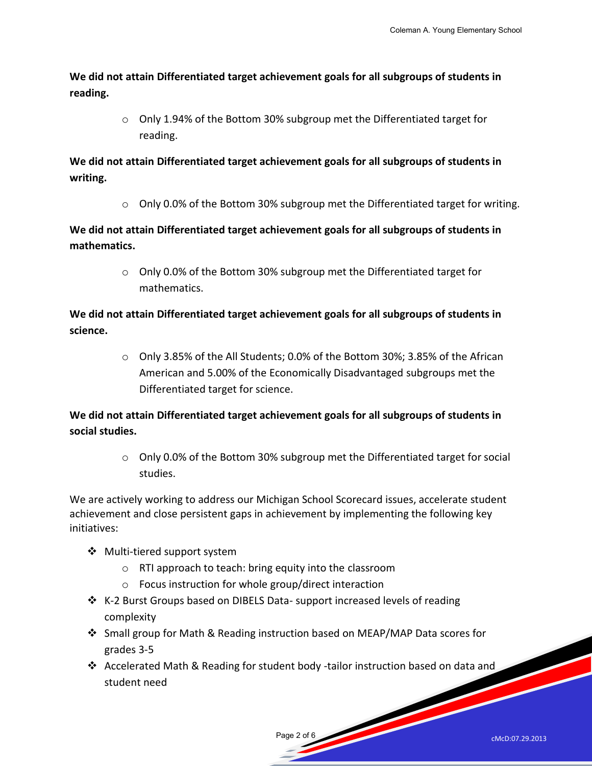**We did not attain Differentiated target achievement goals for all subgroups of students in reading.** 

> $\circ$  Only 1.94% of the Bottom 30% subgroup met the Differentiated target for reading.

**We did not attain Differentiated target achievement goals for all subgroups of students in writing.** 

 $\circ$  Only 0.0% of the Bottom 30% subgroup met the Differentiated target for writing.

**We did not attain Differentiated target achievement goals for all subgroups of students in mathematics.** 

> o Only 0.0% of the Bottom 30% subgroup met the Differentiated target for mathematics.

**We did not attain Differentiated target achievement goals for all subgroups of students in science.** 

> $\circ$  Only 3.85% of the All Students; 0.0% of the Bottom 30%; 3.85% of the African American and 5.00% of the Economically Disadvantaged subgroups met the Differentiated target for science.

**We did not attain Differentiated target achievement goals for all subgroups of students in social studies.** 

> o Only 0.0% of the Bottom 30% subgroup met the Differentiated target for social studies.

We are actively working to address our Michigan School Scorecard issues, accelerate student achievement and close persistent gaps in achievement by implementing the following key initiatives:

- Multi-tiered support system
	- o RTI approach to teach: bring equity into the classroom
	- o Focus instruction for whole group/direct interaction
- ❖ K-2 Burst Groups based on DIBELS Data- support increased levels of reading complexity
- Small group for Math & Reading instruction based on MEAP/MAP Data scores for grades 3-5
- Accelerated Math & Reading for student body -tailor instruction based on data and student need

Page 2 of 6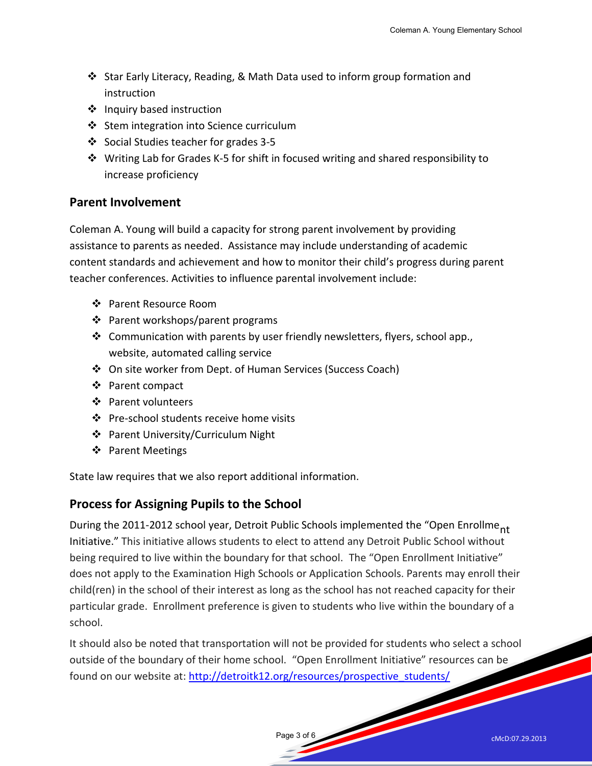- Star Early Literacy, Reading, & Math Data used to inform group formation and instruction
- $\cdot$  Inquiry based instruction
- Stem integration into Science curriculum
- Social Studies teacher for grades 3-5
- Writing Lab for Grades K-5 for shift in focused writing and shared responsibility to increase proficiency

## **Parent Involvement**

Coleman A. Young will build a capacity for strong parent involvement by providing assistance to parents as needed. Assistance may include understanding of academic content standards and achievement and how to monitor their child's progress during parent teacher conferences. Activities to influence parental involvement include:

- ❖ Parent Resource Room
- Parent workshops/parent programs
- \* Communication with parents by user friendly newsletters, flyers, school app., website, automated calling service
- On site worker from Dept. of Human Services (Success Coach)
- ❖ Parent compact
- ❖ Parent volunteers
- ❖ Pre-school students receive home visits
- ❖ Parent University/Curriculum Night
- ❖ Parent Meetings

State law requires that we also report additional information.

## **Process for Assigning Pupils to the School**

During the 2011-2012 school year, Detroit Public Schools implemented the "Open Enrollme<sub>nt</sub> Initiative." This initiative allows students to elect to attend any Detroit Public School without being required to live within the boundary for that school. The "Open Enrollment Initiative" does not apply to the Examination High Schools or Application Schools. Parents may enroll their child(ren) in the school of their interest as long as the school has not reached capacity for their particular grade. Enrollment preference is given to students who live within the boundary of a school.

It should also be noted that transportation will not be provided for students who select a school outside of the boundary of their home school. "Open Enrollment Initiative" resources can be found on our website at: [http://detroitk12.org/resources/prospective\\_students/](http://detroitk12.org/resources/prospective_students/)

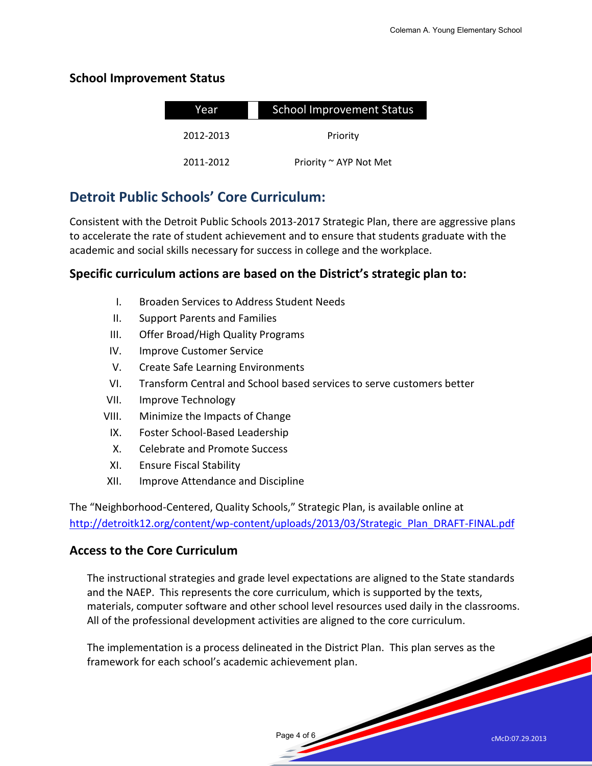## **School Improvement Status**

| Year      | <b>School Improvement Status</b> |  |
|-----------|----------------------------------|--|
| 2012-2013 | Priority                         |  |
| 2011-2012 | Priority ~ AYP Not Met           |  |

## **Detroit Public Schools' Core Curriculum:**

Consistent with the Detroit Public Schools 2013-2017 Strategic Plan, there are aggressive plans to accelerate the rate of student achievement and to ensure that students graduate with the academic and social skills necessary for success in college and the workplace.

## **Specific curriculum actions are based on the District's strategic plan to:**

- I. Broaden Services to Address Student Needs
- II. Support Parents and Families
- III. Offer Broad/High Quality Programs
- IV. Improve Customer Service
- V. Create Safe Learning Environments
- VI. Transform Central and School based services to serve customers better
- VII. Improve Technology
- VIII. Minimize the Impacts of Change
	- IX. Foster School-Based Leadership
	- X. Celebrate and Promote Success
- XI. Ensure Fiscal Stability
- XII. Improve Attendance and Discipline

The "Neighborhood-Centered, Quality Schools," Strategic Plan, is available online at [http://detroitk12.org/content/wp-content/uploads/2013/03/Strategic\\_Plan\\_DRAFT-FINAL.pdf](http://detroitk12.org/content/wp-content/uploads/2013/03/Strategic_Plan_DRAFT-FINAL.pdf)

## **Access to the Core Curriculum**

The instructional strategies and grade level expectations are aligned to the State standards and the NAEP. This represents the core curriculum, which is supported by the texts, materials, computer software and other school level resources used daily in the classrooms. All of the professional development activities are aligned to the core curriculum.

Page 4 of 6

The implementation is a process delineated in the District Plan. This plan serves as the framework for each school's academic achievement plan.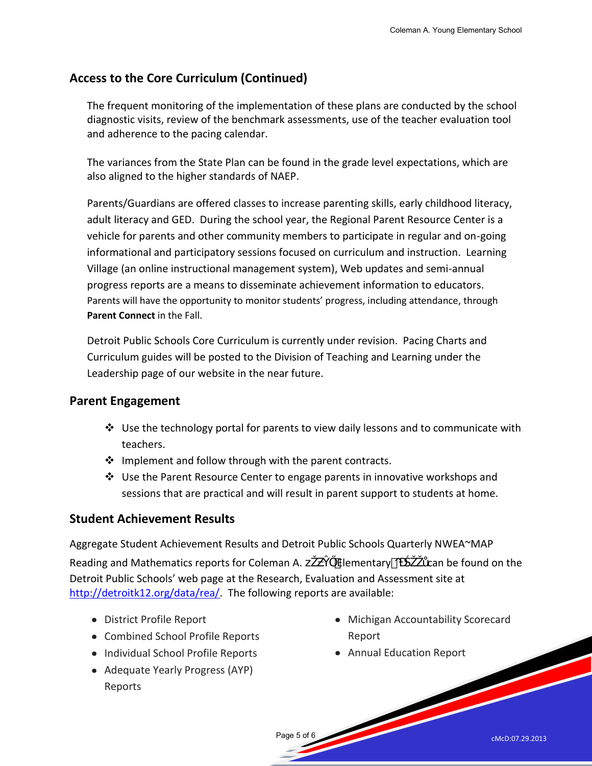## **Access to the Core Curriculum (Continued)**

The frequent monitoring of the implementation of these plans are conducted by the school diagnostic visits, review of the benchmark assessments, use of the teacher evaluation tool and adherence to the pacing calendar.

The variances from the State Plan can be found in the grade level expectations, which are also aligned to the higher standards of NAEP.

Parents/Guardians are offered classes to increase parenting skills, early childhood literacy, adult literacy and GED. During the school year, the Regional Parent Resource Center is a vehicle for parents and other community members to participate in regular and on-going informational and participatory sessions focused on curriculum and instruction. Learning Village (an online instructional management system), Web updates and semi-annual progress reports are a means to disseminate achievement information to educators. Parents will have the opportunity to monitor students' progress, including attendance, through **Parent Connect** in the Fall.

Detroit Public Schools Core Curriculum is currently under revision. Pacing Charts and Curriculum guides will be posted to the Division of Teaching and Learning under the Leadership page of our website in the near future.

## **Parent Engagement**

- $\div$  Use the technology portal for parents to view daily lessons and to communicate with teachers.
- $\cdot \cdot$  Implement and follow through with the parent contracts.
- Use the Parent Resource Center to engage parents in innovative workshops and sessions that are practical and will result in parent support to students at home.

## **Student Achievement Results**

Aggregate Student Achievement Results and Detroit Public Schools Quarterly NWEA~MAP Reading and Mathematics reports for Coleman A. ' Elementary o can be found on the Detroit Public Schools' web page at the Research, Evaluation and Assessment site at [http://detroitk12.org/data/rea/.](http://detroitk12.org/data/rea/) The following reports are available:

Page 5 of 6

- District Profile Report
- Combined School Profile Reports
- Individual School Profile Reports
- Adequate Yearly Progress (AYP) Reports
- Michigan Accountability Scorecard Report
- Annual Education Report